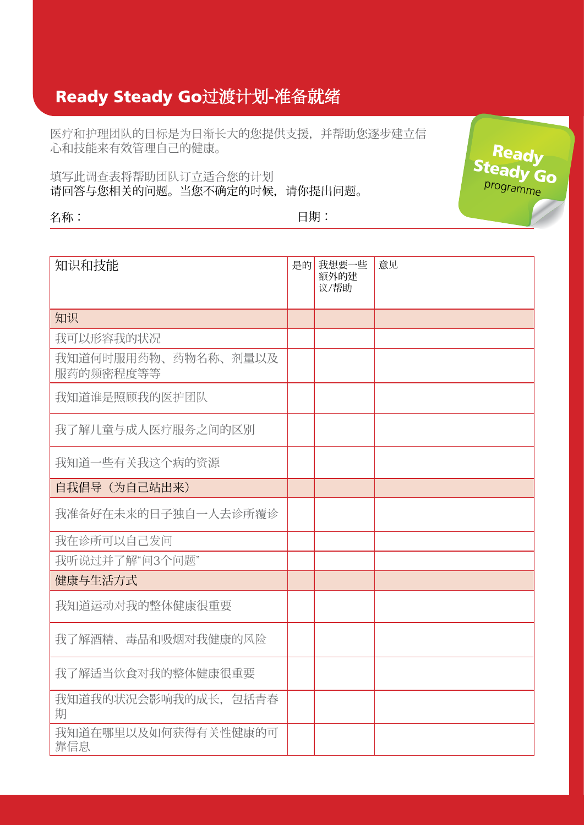## Ready Steady Go过渡计划-准备就绪

医疗和护理团队的目标是为日渐长大的您提供支援,并帮助您逐步建立信 心和技能来有效管理自己的健康。

填写此调查表将帮助团队订立适合您的计划 请回答与您相关的问题。当您不确定的时候,请你提出问题。

Ready Steady Go programme

名称: 2008年 - 2009年 - 2009年 - 2009年 - 2009年 - 2009年 - 2009年 - 2009年 - 2009年 - 2009年 - 2009年 - 2009年 - 2009年 - 200

| 知识和技能                            | 是的 我想要一些<br>额外的建<br>议/帮助 | 意见 |
|----------------------------------|--------------------------|----|
| 知识                               |                          |    |
| 我可以形容我的状况                        |                          |    |
| 我知道何时服用药物、药物名称、剂量以及<br>服药的频密程度等等 |                          |    |
| 我知道谁是照顾我的医护团队                    |                          |    |
| 我了解儿童与成人医疗服务之间的区别                |                          |    |
| 我知道一些有关我这个病的资源                   |                          |    |
| 自我倡导(为自己站出来)                     |                          |    |
| 我准备好在未来的日子独自一人去诊所覆诊              |                          |    |
| 我在诊所可以自己发问                       |                          |    |
| 我听说过并了解"问3个问题"                   |                          |    |
| 健康与生活方式                          |                          |    |
| 我知道运动对我的整体健康很重要                  |                          |    |
| 我了解酒精、毒品和吸烟对我健康的风险               |                          |    |
| 我了解适当饮食对我的整体健康很重要                |                          |    |
| 我知道我的状况会影响我的成长,包括青春<br>期         |                          |    |
| 我知道在哪里以及如何获得有关性健康的可<br>靠信息       |                          |    |